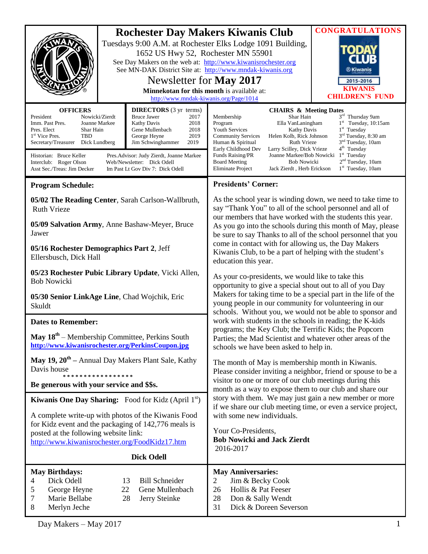| <b>OFFICERS</b><br>Nowicki/Zierdt<br>President<br>Imm. Past Pres.<br>Joanne Markee<br>Pres. Elect<br>Shar Hain<br>1 <sup>st</sup> Vice Pres.<br>TBD<br>Dick Lundberg<br>Secretary/Treasurer                                 | <b>Rochester Day Makers Kiwanis Club</b><br>Tuesdays 9:00 A.M. at Rochester Elks Lodge 1091 Building,<br>1652 US Hwy 52, Rochester MN 55901<br>See Day Makers on the web at: http://www.kiwanisrochester.org<br>See MN-DAK District Site at: http://www.mndak-kiwanis.org<br>Newsletter for May 2017<br>Minnekotan for this month is available at:<br>http://www.mndak-kiwanis.org/Page/1014<br><b>DIRECTORS</b> (3 yr terms)<br><b>CHAIRS &amp; Meeting Dates</b><br>Shar Hain<br><b>Bruce Jawer</b><br>Membership<br>2017<br>Kathy Davis<br>2018<br>Program<br>Ella VanLaningham<br>Gene Mullenbach<br>2018<br><b>Youth Services</b><br><b>Kathy Davis</b><br>George Heyne<br>2019<br><b>Community Services</b><br>Helen Kolb, Rick Johnson<br>Jim Schwinghammer<br>2019<br>Human & Spiritual<br><b>Ruth Vrieze</b><br>Early Childhood Dev<br>Larry Scilley, Dick Vrieze |                                                                                                                                                                                                                                                                                                                                                                                                                                                                                                                                      | <b>CONGRATULATIONS</b><br>$\mathbf{O}(\mathbf{D})$<br><b>®Kiwanis</b><br>2015-2016<br><b>KIWANIS</b><br><b>CHILDREN'S FUND</b><br>3rd Thursday 9am<br>$1st$ Tuesday, 10:15am<br>$1st$ Tuesday<br>3 <sup>rd</sup> Tuesday, 8:30 am<br>3 <sup>nd</sup> Tuesday, 10am<br>4 <sup>th</sup> Tuesday |
|-----------------------------------------------------------------------------------------------------------------------------------------------------------------------------------------------------------------------------|----------------------------------------------------------------------------------------------------------------------------------------------------------------------------------------------------------------------------------------------------------------------------------------------------------------------------------------------------------------------------------------------------------------------------------------------------------------------------------------------------------------------------------------------------------------------------------------------------------------------------------------------------------------------------------------------------------------------------------------------------------------------------------------------------------------------------------------------------------------------------|--------------------------------------------------------------------------------------------------------------------------------------------------------------------------------------------------------------------------------------------------------------------------------------------------------------------------------------------------------------------------------------------------------------------------------------------------------------------------------------------------------------------------------------|-----------------------------------------------------------------------------------------------------------------------------------------------------------------------------------------------------------------------------------------------------------------------------------------------|
| Historian: Bruce Keller<br>Pres. Advisor: Judy Zierdt, Joanne Markee<br>Interclub: Roger Olson<br>Web/Newsletter: Dick Odell<br>Asst Sec./Treas: Jim Decker<br>Im Past Lt Gov Div 7: Dick Odell                             |                                                                                                                                                                                                                                                                                                                                                                                                                                                                                                                                                                                                                                                                                                                                                                                                                                                                            | Funds Raising/PR<br>Joanne Markee/Bob Nowicki<br><b>Bob Nowicki</b><br><b>Board Meeting</b><br>Eliminate Project<br>Jack Zierdt, Herb Erickson                                                                                                                                                                                                                                                                                                                                                                                       | $1st$ Tuesday<br>2 <sup>nd</sup> Tuesday, 10am<br>$1st$ Tuesday, 10am                                                                                                                                                                                                                         |
| <b>Program Schedule:</b>                                                                                                                                                                                                    |                                                                                                                                                                                                                                                                                                                                                                                                                                                                                                                                                                                                                                                                                                                                                                                                                                                                            | <b>Presidents' Corner:</b>                                                                                                                                                                                                                                                                                                                                                                                                                                                                                                           |                                                                                                                                                                                                                                                                                               |
| 05/02 The Reading Center, Sarah Carlson-Wallbruth,<br><b>Ruth Vrieze</b>                                                                                                                                                    |                                                                                                                                                                                                                                                                                                                                                                                                                                                                                                                                                                                                                                                                                                                                                                                                                                                                            | As the school year is winding down, we need to take time to<br>say "Thank You" to all of the school personnel and all of<br>our members that have worked with the students this year.<br>As you go into the schools during this month of May, please<br>be sure to say Thanks to all of the school personnel that you<br>come in contact with for allowing us, the Day Makers<br>Kiwanis Club, to be a part of helping with the student's<br>education this year.                                                                    |                                                                                                                                                                                                                                                                                               |
| 05/09 Salvation Army, Anne Bashaw-Meyer, Bruce<br>Jawer                                                                                                                                                                     |                                                                                                                                                                                                                                                                                                                                                                                                                                                                                                                                                                                                                                                                                                                                                                                                                                                                            |                                                                                                                                                                                                                                                                                                                                                                                                                                                                                                                                      |                                                                                                                                                                                                                                                                                               |
| 05/16 Rochester Demographics Part 2, Jeff<br>Ellersbusch, Dick Hall                                                                                                                                                         |                                                                                                                                                                                                                                                                                                                                                                                                                                                                                                                                                                                                                                                                                                                                                                                                                                                                            |                                                                                                                                                                                                                                                                                                                                                                                                                                                                                                                                      |                                                                                                                                                                                                                                                                                               |
| 05/23 Rochester Pubic Library Update, Vicki Allen,<br><b>Bob Nowicki</b>                                                                                                                                                    |                                                                                                                                                                                                                                                                                                                                                                                                                                                                                                                                                                                                                                                                                                                                                                                                                                                                            | As your co-presidents, we would like to take this<br>opportunity to give a special shout out to all of you Day<br>Makers for taking time to be a special part in the life of the<br>young people in our community for volunteering in our<br>schools. Without you, we would not be able to sponsor and<br>work with students in the schools in reading; the K-kids<br>programs; the Key Club; the Terrific Kids; the Popcorn<br>Parties; the Mad Scientist and whatever other areas of the<br>schools we have been asked to help in. |                                                                                                                                                                                                                                                                                               |
| 05/30 Senior LinkAge Line, Chad Wojchik, Eric<br>Skuldt                                                                                                                                                                     |                                                                                                                                                                                                                                                                                                                                                                                                                                                                                                                                                                                                                                                                                                                                                                                                                                                                            |                                                                                                                                                                                                                                                                                                                                                                                                                                                                                                                                      |                                                                                                                                                                                                                                                                                               |
| <b>Dates to Remember:</b>                                                                                                                                                                                                   |                                                                                                                                                                                                                                                                                                                                                                                                                                                                                                                                                                                                                                                                                                                                                                                                                                                                            |                                                                                                                                                                                                                                                                                                                                                                                                                                                                                                                                      |                                                                                                                                                                                                                                                                                               |
| May 18 <sup>th</sup> – Membership Committee, Perkins South<br>http://www.kiwanisrochester.org/PerkinsCoupon.jpg                                                                                                             |                                                                                                                                                                                                                                                                                                                                                                                                                                                                                                                                                                                                                                                                                                                                                                                                                                                                            |                                                                                                                                                                                                                                                                                                                                                                                                                                                                                                                                      |                                                                                                                                                                                                                                                                                               |
| May $19, 20$ <sup>th</sup> – Annual Day Makers Plant Sale, Kathy<br>Davis house<br>* * * * * * * * * * * * * * * * *<br>Be generous with your service and \$\$s.                                                            |                                                                                                                                                                                                                                                                                                                                                                                                                                                                                                                                                                                                                                                                                                                                                                                                                                                                            | The month of May is membership month in Kiwanis.<br>Please consider inviting a neighbor, friend or spouse to be a<br>visitor to one or more of our club meetings during this<br>month as a way to expose them to our club and share our<br>story with them. We may just gain a new member or more<br>if we share our club meeting time, or even a service project,<br>with some new individuals.<br>Your Co-Presidents,<br><b>Bob Nowicki and Jack Zierdt</b><br>2016-2017                                                           |                                                                                                                                                                                                                                                                                               |
| <b>Kiwanis One Day Sharing:</b> Food for Kidz (April $1st$ )                                                                                                                                                                |                                                                                                                                                                                                                                                                                                                                                                                                                                                                                                                                                                                                                                                                                                                                                                                                                                                                            |                                                                                                                                                                                                                                                                                                                                                                                                                                                                                                                                      |                                                                                                                                                                                                                                                                                               |
| A complete write-up with photos of the Kiwanis Food<br>for Kidz event and the packaging of 142,776 meals is<br>posted at the following website link:<br>http://www.kiwanisrochester.org/FoodKidz17.htm<br><b>Dick Odell</b> |                                                                                                                                                                                                                                                                                                                                                                                                                                                                                                                                                                                                                                                                                                                                                                                                                                                                            |                                                                                                                                                                                                                                                                                                                                                                                                                                                                                                                                      |                                                                                                                                                                                                                                                                                               |
| <b>May Birthdays:</b><br>Dick Odell<br>4<br>George Heyne<br>5<br>Marie Bellabe<br>7<br>8<br>Merlyn Jeche                                                                                                                    | <b>Bill Schneider</b><br>13<br>22<br>Gene Mullenbach<br>28<br>Jerry Steinke                                                                                                                                                                                                                                                                                                                                                                                                                                                                                                                                                                                                                                                                                                                                                                                                | <b>May Anniversaries:</b><br>2<br>Jim & Becky Cook<br>Hollis & Pat Feeser<br>26<br>28<br>Don & Sally Wendt<br>Dick & Doreen Severson<br>31                                                                                                                                                                                                                                                                                                                                                                                           |                                                                                                                                                                                                                                                                                               |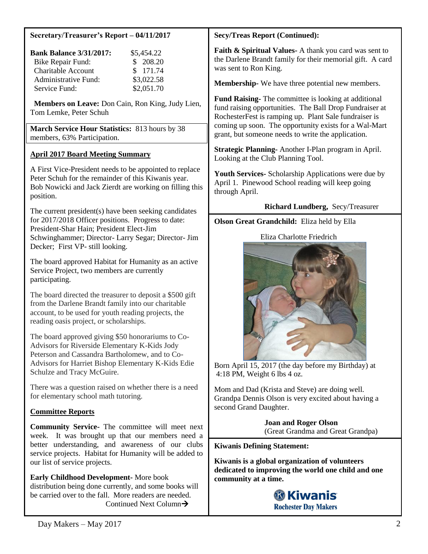### **Secretary/Treasurer's Report – 04/11/2017**

| <b>Bank Balance 3/31/2017:</b> | \$5,454.22 |
|--------------------------------|------------|
| Bike Repair Fund:              | \$208.20   |
| <b>Charitable Account</b>      | \$171.74   |
| <b>Administrative Fund:</b>    | \$3,022.58 |
| Service Fund:                  | \$2,051.70 |

 **Members on Leave:** Don Cain, Ron King, Judy Lien, Tom Lemke, Peter Schuh

**March Service Hour Statistics:** 813 hours by 38 members, 63% Participation.

## **April 2017 Board Meeting Summary**

A First Vice-President needs to be appointed to replace Peter Schuh for the remainder of this Kiwanis year. Bob Nowicki and Jack Zierdt are working on filling this position.

The current president(s) have been seeking candidates for 2017/2018 Officer positions. Progress to date: President-Shar Hain; President Elect-Jim Schwinghammer; Director- Larry Segar; Director- Jim Decker; First VP- still looking.

The board approved Habitat for Humanity as an active Service Project, two members are currently participating.

The board directed the treasurer to deposit a \$500 gift from the Darlene Brandt family into our charitable account, to be used for youth reading projects, the reading oasis project, or scholarships.

The board approved giving \$50 honorariums to Co-Advisors for Riverside Elementary K-Kids Jody Peterson and Cassandra Bartholomew, and to Co-Advisors for Harriet Bishop Elementary K-Kids Edie Schulze and Tracy McGuire.

There was a question raised on whether there is a need for elementary school math tutoring.

## **Committee Reports**

**Community Service-** The committee will meet next week. It was brought up that our members need a better understanding, and awareness of our clubs service projects. Habitat for Humanity will be added to our list of service projects.

**Early Childhood Development-** More book distribution being done currently, and some books will be carried over to the fall. More readers are needed. Continued Next Column

#### **Secy/Treas Report (Continued):**

**Faith & Spiritual Values-** A thank you card was sent to the Darlene Brandt family for their memorial gift. A card was sent to Ron King.

**Membership-** We have three potential new members.

**Fund Raising-** The committee is looking at additional fund raising opportunities. The Ball Drop Fundraiser at RochesterFest is ramping up. Plant Sale fundraiser is coming up soon. The opportunity exists for a Wal-Mart grant, but someone needs to write the application.

**Strategic Planning-** Another I-Plan program in April. Looking at the Club Planning Tool.

**Youth Services-** Scholarship Applications were due by April 1. Pinewood School reading will keep going through April.

### **Richard Lundberg,** Secy/Treasurer

## **Olson Great Grandchild:** Eliza held by Ella

## Eliza Charlotte Friedrich



Born April 15, 2017 (the day before my Birthday) at 4:18 PM, Weight 6 lbs 4 oz.

Mom and Dad (Krista and Steve) are doing well. Grandpa Dennis Olson is very excited about having a second Grand Daughter.

> **Joan and Roger Olson** (Great Grandma and Great Grandpa)

#### **Kiwanis Defining Statement:**

**Kiwanis is a global organization of volunteers dedicated to improving the world one child and one community at a time.**

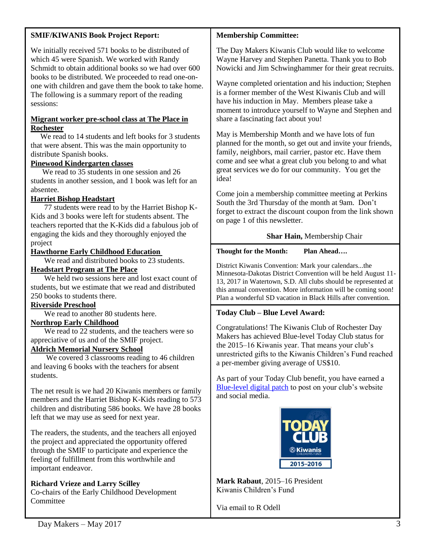# **SMIF/KIWANIS Book Project Report:**

We initially received 571 books to be distributed of which 45 were Spanish. We worked with Randy Schmidt to obtain additional books so we had over 600 books to be distributed. We proceeded to read one-onone with children and gave them the book to take home. The following is a summary report of the reading sessions:

### **Migrant worker pre-school class at The Place in Rochester**

We read to 14 students and left books for 3 students that were absent. This was the main opportunity to distribute Spanish books.

## **Pinewood Kindergarten classes**

We read to 35 students in one session and 26 students in another session, and 1 book was left for an absentee.

## **Harriet Bishop Headstart**

77 students were read to by the Harriet Bishop K-Kids and 3 books were left for students absent. The teachers reported that the K-Kids did a fabulous job of engaging the kids and they thoroughly enjoyed the project

## **Hawthorne Early Childhood Education**

We read and distributed books to 23 students.

# **Headstart Program at The Place**

We held two sessions here and lost exact count of students, but we estimate that we read and distributed 250 books to students there.

## **Riverside Preschool**

We read to another 80 students here.

## **Northrop Early Childhood**

We read to 22 students, and the teachers were so appreciative of us and of the SMIF project.

## **Aldrich Memorial Nursery School**

We covered 3 classrooms reading to 46 children and leaving 6 books with the teachers for absent students.

The net result is we had 20 Kiwanis members or family members and the Harriet Bishop K-Kids reading to 573 children and distributing 586 books. We have 28 books left that we may use as seed for next year.

The readers, the students, and the teachers all enjoyed the project and appreciated the opportunity offered through the SMIF to participate and experience the feeling of fulfillment from this worthwhile and important endeavor.

# **Richard Vrieze and Larry Scilley**

Co-chairs of the Early Childhood Development **Committee** 

# **Membership Committee:**

The Day Makers Kiwanis Club would like to welcome Wayne Harvey and Stephen Panetta. Thank you to Bob Nowicki and Jim Schwinghammer for their great recruits.

Wayne completed orientation and his induction; Stephen is a former member of the West Kiwanis Club and will have his induction in May. Members please take a moment to introduce yourself to Wayne and Stephen and share a fascinating fact about you!

May is Membership Month and we have lots of fun planned for the month, so get out and invite your friends, family, neighbors, mail carrier, pastor etc. Have them come and see what a great club you belong to and what great services we do for our community. You get the idea!

Come join a membership committee meeting at Perkins South the 3rd Thursday of the month at 9am. Don't forget to extract the discount coupon from the link shown on page 1 of this newsletter.

## **Shar Hain,** Membership Chair

## **Thought for the Month: Plan Ahead….**

District Kiwanis Convention: Mark your calendars...the Minnesota-Dakotas District Convention will be held August 11- 13, 2017 in Watertown, S.D. All clubs should be represented at this annual convention. More information will be coming soon! Plan a wonderful SD vacation in Black Hills after convention.

# **Today Club – Blue Level Award:**

Congratulations! The Kiwanis Club of Rochester Day Makers has achieved Blue-level Today Club status for the 2015–16 Kiwanis year. That means your club's unrestricted gifts to the Kiwanis Children's Fund reached a per-member giving average of US\$10.

As part of your Today Club benefit, you have earned a [Blue-level digital patch](http://echo4.bluehornet.com/ct/92859042:72qQWwbyN:m:1:317491346:53F5322D91701F31B698D8707567EB06:r) to post on your club's website and social media.



**Mark Rabaut**, 2015–16 President Kiwanis Children's Fund

Via email to R Odell